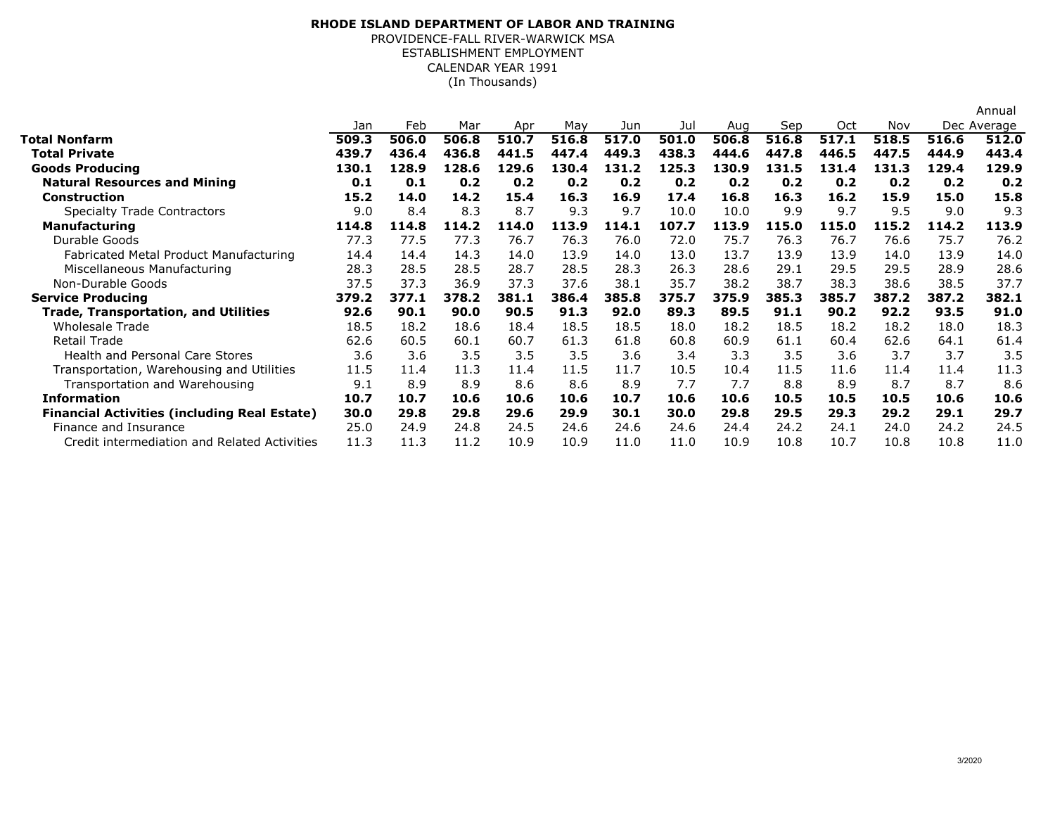## ESTABLISHMENT EMPLOYMENT**RHODE ISLAND DEPARTMENT OF LABOR AND TRAINING**PROVIDENCE-FALL RIVER-WARWICK MSACALENDAR YEAR 1991(In Thousands)

|                                                     |       |       |       |       |       |       |       |       |       |       |       |             | Annual |
|-----------------------------------------------------|-------|-------|-------|-------|-------|-------|-------|-------|-------|-------|-------|-------------|--------|
|                                                     | Jan   | Feb   | Mar   | Apr   | May   | Jun   | Jul   | Aug   | Sep   | Oct   | Nov   | Dec Average |        |
| <b>Total Nonfarm</b>                                | 509.3 | 506.0 | 506.8 | 510.7 | 516.8 | 517.0 | 501.0 | 506.8 | 516.8 | 517.1 | 518.5 | 516.6       | 512.0  |
| <b>Total Private</b>                                | 439.7 | 436.4 | 436.8 | 441.5 | 447.4 | 449.3 | 438.3 | 444.6 | 447.8 | 446.5 | 447.5 | 444.9       | 443.4  |
| <b>Goods Producing</b>                              | 130.1 | 128.9 | 128.6 | 129.6 | 130.4 | 131.2 | 125.3 | 130.9 | 131.5 | 131.4 | 131.3 | 129.4       | 129.9  |
| <b>Natural Resources and Mining</b>                 | 0.1   | 0.1   | 0.2   | 0.2   | 0.2   | 0.2   | 0.2   | 0.2   | 0.2   | 0.2   | 0.2   | 0.2         | 0.2    |
| <b>Construction</b>                                 | 15.2  | 14.0  | 14.2  | 15.4  | 16.3  | 16.9  | 17.4  | 16.8  | 16.3  | 16.2  | 15.9  | 15.0        | 15.8   |
| <b>Specialty Trade Contractors</b>                  | 9.0   | 8.4   | 8.3   | 8.7   | 9.3   | 9.7   | 10.0  | 10.0  | 9.9   | 9.7   | 9.5   | 9.0         | 9.3    |
| <b>Manufacturing</b>                                | 114.8 | 114.8 | 114.2 | 114.0 | 113.9 | 114.1 | 107.7 | 113.9 | 115.0 | 115.0 | 115.2 | 114.2       | 113.9  |
| Durable Goods                                       | 77.3  | 77.5  | 77.3  | 76.7  | 76.3  | 76.0  | 72.0  | 75.7  | 76.3  | 76.7  | 76.6  | 75.7        | 76.2   |
| Fabricated Metal Product Manufacturing              | 14.4  | 14.4  | 14.3  | 14.0  | 13.9  | 14.0  | 13.0  | 13.7  | 13.9  | 13.9  | 14.0  | 13.9        | 14.0   |
| Miscellaneous Manufacturing                         | 28.3  | 28.5  | 28.5  | 28.7  | 28.5  | 28.3  | 26.3  | 28.6  | 29.1  | 29.5  | 29.5  | 28.9        | 28.6   |
| Non-Durable Goods                                   | 37.5  | 37.3  | 36.9  | 37.3  | 37.6  | 38.1  | 35.7  | 38.2  | 38.7  | 38.3  | 38.6  | 38.5        | 37.7   |
| <b>Service Producing</b>                            | 379.2 | 377.1 | 378.2 | 381.1 | 386.4 | 385.8 | 375.7 | 375.9 | 385.3 | 385.7 | 387.2 | 387.2       | 382.1  |
| <b>Trade, Transportation, and Utilities</b>         | 92.6  | 90.1  | 90.0  | 90.5  | 91.3  | 92.0  | 89.3  | 89.5  | 91.1  | 90.2  | 92.2  | 93.5        | 91.0   |
| Wholesale Trade                                     | 18.5  | 18.2  | 18.6  | 18.4  | 18.5  | 18.5  | 18.0  | 18.2  | 18.5  | 18.2  | 18.2  | 18.0        | 18.3   |
| Retail Trade                                        | 62.6  | 60.5  | 60.1  | 60.7  | 61.3  | 61.8  | 60.8  | 60.9  | 61.1  | 60.4  | 62.6  | 64.1        | 61.4   |
| <b>Health and Personal Care Stores</b>              | 3.6   | 3.6   | 3.5   | 3.5   | 3.5   | 3.6   | 3.4   | 3.3   | 3.5   | 3.6   | 3.7   | 3.7         | 3.5    |
| Transportation, Warehousing and Utilities           | 11.5  | 11.4  | 11.3  | 11.4  | 11.5  | 11.7  | 10.5  | 10.4  | 11.5  | 11.6  | 11.4  | 11.4        | 11.3   |
| Transportation and Warehousing                      | 9.1   | 8.9   | 8.9   | 8.6   | 8.6   | 8.9   | 7.7   | 7.7   | 8.8   | 8.9   | 8.7   | 8.7         | 8.6    |
| <b>Information</b>                                  | 10.7  | 10.7  | 10.6  | 10.6  | 10.6  | 10.7  | 10.6  | 10.6  | 10.5  | 10.5  | 10.5  | 10.6        | 10.6   |
| <b>Financial Activities (including Real Estate)</b> | 30.0  | 29.8  | 29.8  | 29.6  | 29.9  | 30.1  | 30.0  | 29.8  | 29.5  | 29.3  | 29.2  | 29.1        | 29.7   |
| Finance and Insurance                               | 25.0  | 24.9  | 24.8  | 24.5  | 24.6  | 24.6  | 24.6  | 24.4  | 24.2  | 24.1  | 24.0  | 24.2        | 24.5   |
| Credit intermediation and Related Activities        | 11.3  | 11.3  | 11.2  | 10.9  | 10.9  | 11.0  | 11.0  | 10.9  | 10.8  | 10.7  | 10.8  | 10.8        | 11.0   |